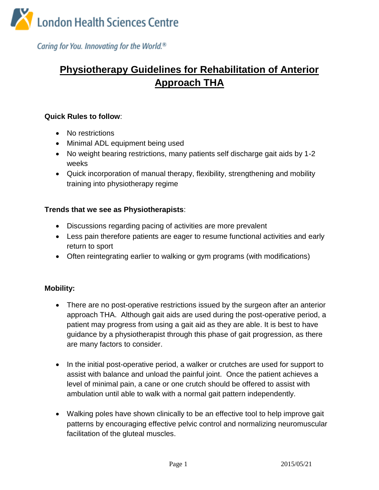

Caring for You. Innovating for the World.<sup>®</sup>

# **Physiotherapy Guidelines for Rehabilitation of Anterior Approach THA**

#### **Quick Rules to follow**:

- No restrictions
- Minimal ADL equipment being used
- No weight bearing restrictions, many patients self discharge gait aids by 1-2 weeks
- Quick incorporation of manual therapy, flexibility, strengthening and mobility training into physiotherapy regime

#### **Trends that we see as Physiotherapists**:

- Discussions regarding pacing of activities are more prevalent
- Less pain therefore patients are eager to resume functional activities and early return to sport
- Often reintegrating earlier to walking or gym programs (with modifications)

### **Mobility:**

- There are no post-operative restrictions issued by the surgeon after an anterior approach THA. Although gait aids are used during the post-operative period, a patient may progress from using a gait aid as they are able. It is best to have guidance by a physiotherapist through this phase of gait progression, as there are many factors to consider.
- In the initial post-operative period, a walker or crutches are used for support to assist with balance and unload the painful joint. Once the patient achieves a level of minimal pain, a cane or one crutch should be offered to assist with ambulation until able to walk with a normal gait pattern independently.
- Walking poles have shown clinically to be an effective tool to help improve gait patterns by encouraging effective pelvic control and normalizing neuromuscular facilitation of the gluteal muscles.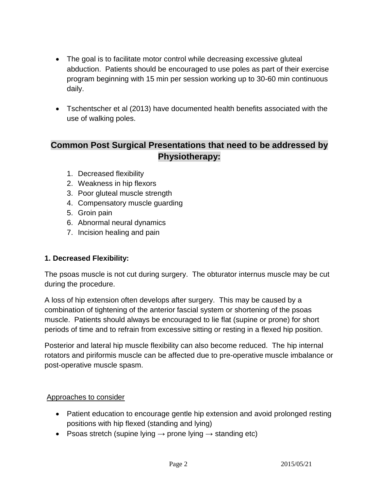- The goal is to facilitate motor control while decreasing excessive gluteal abduction. Patients should be encouraged to use poles as part of their exercise program beginning with 15 min per session working up to 30-60 min continuous daily.
- Tschentscher et al (2013) have documented health benefits associated with the use of walking poles.

# **Common Post Surgical Presentations that need to be addressed by Physiotherapy:**

- 1. Decreased flexibility
- 2. Weakness in hip flexors
- 3. Poor gluteal muscle strength
- 4. Compensatory muscle guarding
- 5. Groin pain
- 6. Abnormal neural dynamics
- 7. Incision healing and pain

### **1. Decreased Flexibility:**

The psoas muscle is not cut during surgery. The obturator internus muscle may be cut during the procedure.

A loss of hip extension often develops after surgery. This may be caused by a combination of tightening of the anterior fascial system or shortening of the psoas muscle. Patients should always be encouraged to lie flat (supine or prone) for short periods of time and to refrain from excessive sitting or resting in a flexed hip position.

Posterior and lateral hip muscle flexibility can also become reduced. The hip internal rotators and piriformis muscle can be affected due to pre-operative muscle imbalance or post-operative muscle spasm.

### Approaches to consider

- Patient education to encourage gentle hip extension and avoid prolonged resting positions with hip flexed (standing and lying)
- Psoas stretch (supine lying  $→$  prone lying  $→$  standing etc)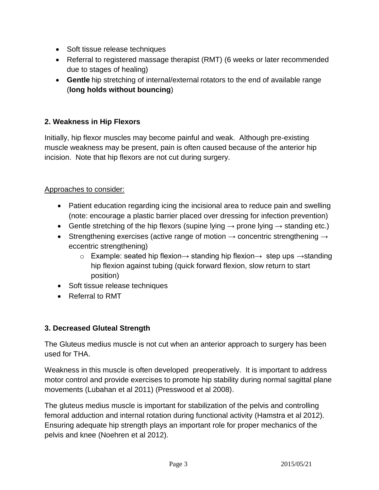- Soft tissue release techniques
- Referral to registered massage therapist (RMT) (6 weeks or later recommended due to stages of healing)
- **Gentle** hip stretching of internal/external rotators to the end of available range (**long holds without bouncing**)

## **2. Weakness in Hip Flexors**

Initially, hip flexor muscles may become painful and weak. Although pre-existing muscle weakness may be present, pain is often caused because of the anterior hip incision. Note that hip flexors are not cut during surgery.

### Approaches to consider:

- Patient education regarding icing the incisional area to reduce pain and swelling (note: encourage a plastic barrier placed over dressing for infection prevention)
- Gentle stretching of the hip flexors (supine lying  $\rightarrow$  prone lying  $\rightarrow$  standing etc.)
- Strengthening exercises (active range of motion  $\rightarrow$  concentric strengthening  $\rightarrow$ eccentric strengthening)
	- o Example: seated hip flexion→ standing hip flexion→ step ups  $\rightarrow$  standing hip flexion against tubing (quick forward flexion, slow return to start position)
- Soft tissue release techniques
- Referral to RMT

### **3. Decreased Gluteal Strength**

The Gluteus medius muscle is not cut when an anterior approach to surgery has been used for THA.

Weakness in this muscle is often developed preoperatively. It is important to address motor control and provide exercises to promote hip stability during normal sagittal plane movements (Lubahan et al 2011) (Presswood et al 2008).

The gluteus medius muscle is important for stabilization of the pelvis and controlling femoral adduction and internal rotation during functional activity (Hamstra et al 2012). Ensuring adequate hip strength plays an important role for proper mechanics of the pelvis and knee (Noehren et al 2012).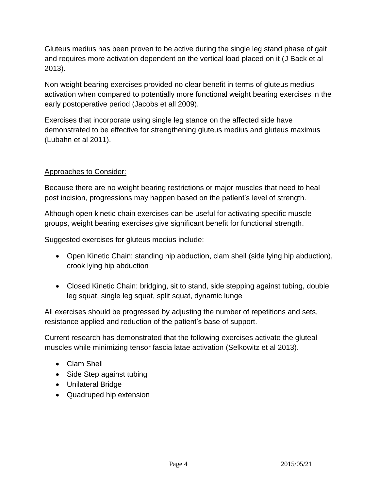Gluteus medius has been proven to be active during the single leg stand phase of gait and requires more activation dependent on the vertical load placed on it (J Back et al 2013).

Non weight bearing exercises provided no clear benefit in terms of gluteus medius activation when compared to potentially more functional weight bearing exercises in the early postoperative period (Jacobs et all 2009).

Exercises that incorporate using single leg stance on the affected side have demonstrated to be effective for strengthening gluteus medius and gluteus maximus (Lubahn et al 2011).

# Approaches to Consider:

Because there are no weight bearing restrictions or major muscles that need to heal post incision, progressions may happen based on the patient's level of strength.

Although open kinetic chain exercises can be useful for activating specific muscle groups, weight bearing exercises give significant benefit for functional strength.

Suggested exercises for gluteus medius include:

- Open Kinetic Chain: standing hip abduction, clam shell (side lying hip abduction), crook lying hip abduction
- Closed Kinetic Chain: bridging, sit to stand, side stepping against tubing, double leg squat, single leg squat, split squat, dynamic lunge

All exercises should be progressed by adjusting the number of repetitions and sets, resistance applied and reduction of the patient's base of support.

Current research has demonstrated that the following exercises activate the gluteal muscles while minimizing tensor fascia latae activation (Selkowitz et al 2013).

- Clam Shell
- Side Step against tubing
- Unilateral Bridge
- Quadruped hip extension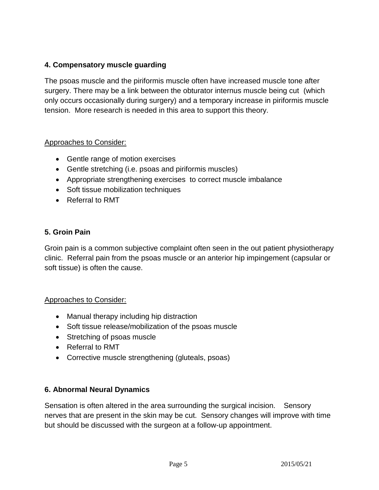# **4. Compensatory muscle guarding**

The psoas muscle and the piriformis muscle often have increased muscle tone after surgery. There may be a link between the obturator internus muscle being cut (which only occurs occasionally during surgery) and a temporary increase in piriformis muscle tension. More research is needed in this area to support this theory.

### Approaches to Consider:

- Gentle range of motion exercises
- Gentle stretching (i.e. psoas and piriformis muscles)
- Appropriate strengthening exercises to correct muscle imbalance
- Soft tissue mobilization techniques
- Referral to RMT

### **5. Groin Pain**

Groin pain is a common subjective complaint often seen in the out patient physiotherapy clinic. Referral pain from the psoas muscle or an anterior hip impingement (capsular or soft tissue) is often the cause.

#### Approaches to Consider:

- Manual therapy including hip distraction
- Soft tissue release/mobilization of the psoas muscle
- Stretching of psoas muscle
- Referral to RMT
- Corrective muscle strengthening (gluteals, psoas)

#### **6. Abnormal Neural Dynamics**

Sensation is often altered in the area surrounding the surgical incision. Sensory nerves that are present in the skin may be cut. Sensory changes will improve with time but should be discussed with the surgeon at a follow-up appointment.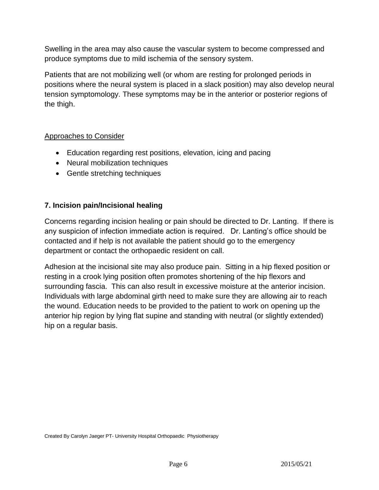Swelling in the area may also cause the vascular system to become compressed and produce symptoms due to mild ischemia of the sensory system.

Patients that are not mobilizing well (or whom are resting for prolonged periods in positions where the neural system is placed in a slack position) may also develop neural tension symptomology. These symptoms may be in the anterior or posterior regions of the thigh.

### Approaches to Consider

- Education regarding rest positions, elevation, icing and pacing
- Neural mobilization techniques
- Gentle stretching techniques

### **7. Incision pain/Incisional healing**

Concerns regarding incision healing or pain should be directed to Dr. Lanting. If there is any suspicion of infection immediate action is required. Dr. Lanting's office should be contacted and if help is not available the patient should go to the emergency department or contact the orthopaedic resident on call.

Adhesion at the incisional site may also produce pain. Sitting in a hip flexed position or resting in a crook lying position often promotes shortening of the hip flexors and surrounding fascia. This can also result in excessive moisture at the anterior incision. Individuals with large abdominal girth need to make sure they are allowing air to reach the wound. Education needs to be provided to the patient to work on opening up the anterior hip region by lying flat supine and standing with neutral (or slightly extended) hip on a regular basis.